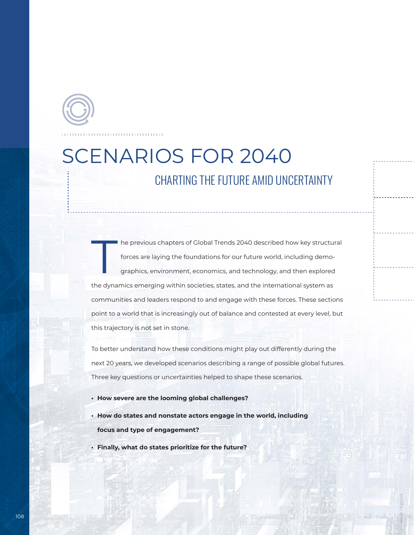

## SCENARIOS FOR 2040 CHARTING THE FUTURE AMID UNCERTAINTY

The previous chapters of Global Trends 2040 described how key structural<br>forces are laying the foundations for our future world, including demographics, environment, economics, and technology, and then explored forces are laying the foundations for our future world, including demographics, environment, economics, and technology, and then explored the dynamics emerging within societies, states, and the international system as communities and leaders respond to and engage with these forces. These sections point to a world that is increasingly out of balance and contested at every level, but this trajectory is not set in stone.

To better understand how these conditions might play out differently during the next 20 years, we developed scenarios describing a range of possible global futures. Three key questions or uncertainties helped to shape these scenarios.

Image / Bigstock

- **• How severe are the looming global challenges?**
- **• How do states and nonstate actors engage in the world, including focus and type of engagement?**
- **• Finally, what do states prioritize for the future?**